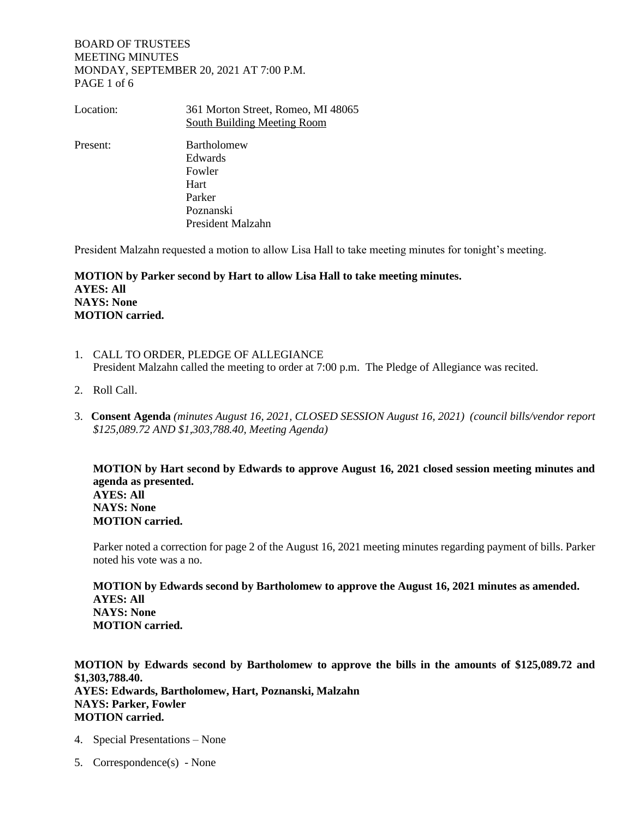# BOARD OF TRUSTEES MEETING MINUTES MONDAY, SEPTEMBER 20, 2021 AT 7:00 P.M. PAGE 1 of 6

| Location: | 361 Morton Street, Romeo, MI 48065<br>South Building Meeting Room |
|-----------|-------------------------------------------------------------------|
| Present:  | <b>Bartholomew</b>                                                |
|           | Edwards                                                           |
|           | Fowler                                                            |
|           | Hart                                                              |
|           | Parker                                                            |
|           | Poznanski                                                         |
|           | President Malzahn                                                 |

President Malzahn requested a motion to allow Lisa Hall to take meeting minutes for tonight's meeting.

**MOTION by Parker second by Hart to allow Lisa Hall to take meeting minutes. AYES: All NAYS: None MOTION carried.**

- 1. CALL TO ORDER, PLEDGE OF ALLEGIANCE President Malzahn called the meeting to order at 7:00 p.m. The Pledge of Allegiance was recited.
- 2. Roll Call.
- 3. **Consent Agenda** *(minutes August 16, 2021, CLOSED SESSION August 16, 2021) (council bills/vendor report \$125,089.72 AND \$1,303,788.40, Meeting Agenda)*

**MOTION by Hart second by Edwards to approve August 16, 2021 closed session meeting minutes and agenda as presented. AYES: All NAYS: None MOTION carried.** 

Parker noted a correction for page 2 of the August 16, 2021 meeting minutes regarding payment of bills. Parker noted his vote was a no.

**MOTION by Edwards second by Bartholomew to approve the August 16, 2021 minutes as amended. AYES: All NAYS: None MOTION carried.** 

**MOTION by Edwards second by Bartholomew to approve the bills in the amounts of \$125,089.72 and \$1,303,788.40. AYES: Edwards, Bartholomew, Hart, Poznanski, Malzahn NAYS: Parker, Fowler MOTION carried.**

- 4. Special Presentations None
- 5. Correspondence(s) None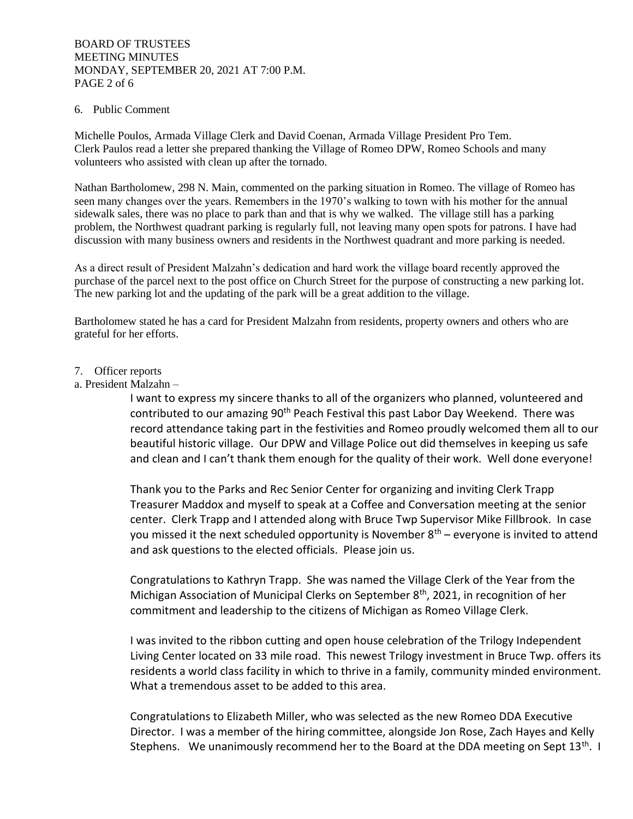# BOARD OF TRUSTEES MEETING MINUTES MONDAY, SEPTEMBER 20, 2021 AT 7:00 P.M. PAGE 2 of 6

# 6. Public Comment

Michelle Poulos, Armada Village Clerk and David Coenan, Armada Village President Pro Tem. Clerk Paulos read a letter she prepared thanking the Village of Romeo DPW, Romeo Schools and many volunteers who assisted with clean up after the tornado.

Nathan Bartholomew, 298 N. Main, commented on the parking situation in Romeo. The village of Romeo has seen many changes over the years. Remembers in the 1970's walking to town with his mother for the annual sidewalk sales, there was no place to park than and that is why we walked. The village still has a parking problem, the Northwest quadrant parking is regularly full, not leaving many open spots for patrons. I have had discussion with many business owners and residents in the Northwest quadrant and more parking is needed.

As a direct result of President Malzahn's dedication and hard work the village board recently approved the purchase of the parcel next to the post office on Church Street for the purpose of constructing a new parking lot. The new parking lot and the updating of the park will be a great addition to the village.

Bartholomew stated he has a card for President Malzahn from residents, property owners and others who are grateful for her efforts.

## 7. Officer reports

a. President Malzahn –

I want to express my sincere thanks to all of the organizers who planned, volunteered and contributed to our amazing 90<sup>th</sup> Peach Festival this past Labor Day Weekend. There was record attendance taking part in the festivities and Romeo proudly welcomed them all to our beautiful historic village. Our DPW and Village Police out did themselves in keeping us safe and clean and I can't thank them enough for the quality of their work. Well done everyone!

Thank you to the Parks and Rec Senior Center for organizing and inviting Clerk Trapp Treasurer Maddox and myself to speak at a Coffee and Conversation meeting at the senior center. Clerk Trapp and I attended along with Bruce Twp Supervisor Mike Fillbrook. In case you missed it the next scheduled opportunity is November  $8<sup>th</sup>$  – everyone is invited to attend and ask questions to the elected officials. Please join us.

Congratulations to Kathryn Trapp. She was named the Village Clerk of the Year from the Michigan Association of Municipal Clerks on September 8<sup>th</sup>, 2021, in recognition of her commitment and leadership to the citizens of Michigan as Romeo Village Clerk.

I was invited to the ribbon cutting and open house celebration of the Trilogy Independent Living Center located on 33 mile road. This newest Trilogy investment in Bruce Twp. offers its residents a world class facility in which to thrive in a family, community minded environment. What a tremendous asset to be added to this area.

Congratulations to Elizabeth Miller, who was selected as the new Romeo DDA Executive Director. I was a member of the hiring committee, alongside Jon Rose, Zach Hayes and Kelly Stephens. We unanimously recommend her to the Board at the DDA meeting on Sept 13<sup>th</sup>. I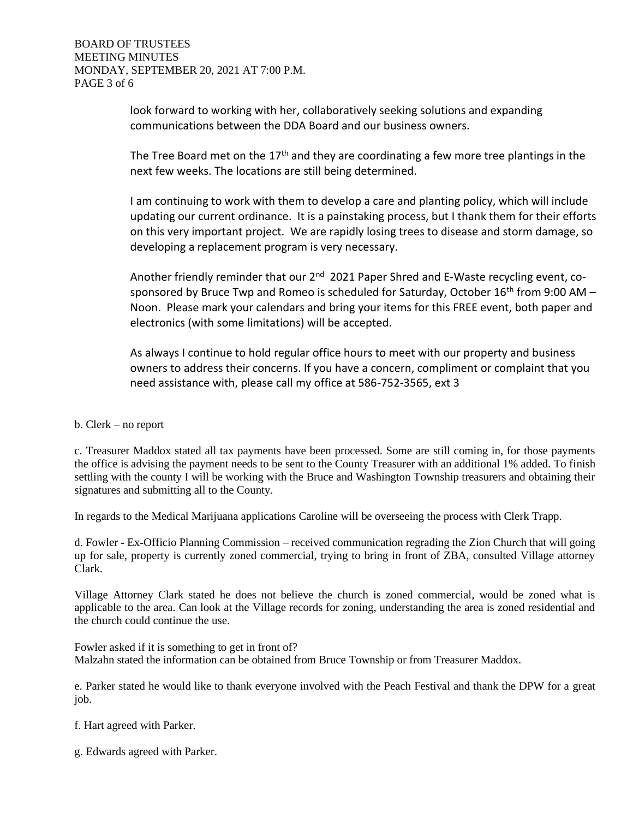look forward to working with her, collaboratively seeking solutions and expanding communications between the DDA Board and our business owners.

The Tree Board met on the  $17<sup>th</sup>$  and they are coordinating a few more tree plantings in the next few weeks. The locations are still being determined.

I am continuing to work with them to develop a care and planting policy, which will include updating our current ordinance. It is a painstaking process, but I thank them for their efforts on this very important project. We are rapidly losing trees to disease and storm damage, so developing a replacement program is very necessary.

Another friendly reminder that our 2<sup>nd</sup> 2021 Paper Shred and E-Waste recycling event, cosponsored by Bruce Twp and Romeo is scheduled for Saturday, October  $16<sup>th</sup>$  from 9:00 AM – Noon. Please mark your calendars and bring your items for this FREE event, both paper and electronics (with some limitations) will be accepted.

As always I continue to hold regular office hours to meet with our property and business owners to address their concerns. If you have a concern, compliment or complaint that you need assistance with, please call my office at 586-752-3565, ext 3

b. Clerk – no report

c. Treasurer Maddox stated all tax payments have been processed. Some are still coming in, for those payments the office is advising the payment needs to be sent to the County Treasurer with an additional 1% added. To finish settling with the county I will be working with the Bruce and Washington Township treasurers and obtaining their signatures and submitting all to the County.

In regards to the Medical Marijuana applications Caroline will be overseeing the process with Clerk Trapp.

d. Fowler - Ex-Officio Planning Commission – received communication regrading the Zion Church that will going up for sale, property is currently zoned commercial, trying to bring in front of ZBA, consulted Village attorney Clark.

Village Attorney Clark stated he does not believe the church is zoned commercial, would be zoned what is applicable to the area. Can look at the Village records for zoning, understanding the area is zoned residential and the church could continue the use.

Fowler asked if it is something to get in front of? Malzahn stated the information can be obtained from Bruce Township or from Treasurer Maddox.

e. Parker stated he would like to thank everyone involved with the Peach Festival and thank the DPW for a great job.

f. Hart agreed with Parker.

g. Edwards agreed with Parker.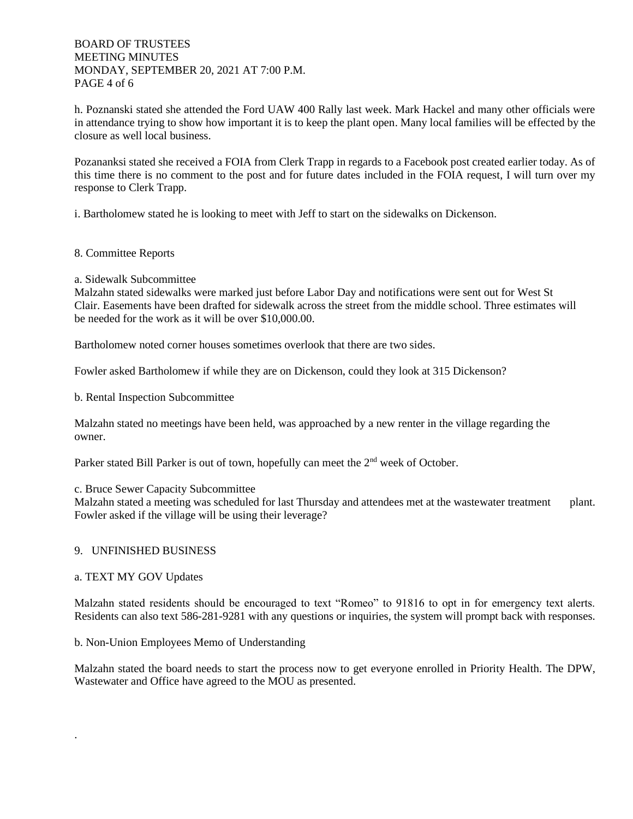# BOARD OF TRUSTEES MEETING MINUTES MONDAY, SEPTEMBER 20, 2021 AT 7:00 P.M. PAGE 4 of 6

h. Poznanski stated she attended the Ford UAW 400 Rally last week. Mark Hackel and many other officials were in attendance trying to show how important it is to keep the plant open. Many local families will be effected by the closure as well local business.

Pozananksi stated she received a FOIA from Clerk Trapp in regards to a Facebook post created earlier today. As of this time there is no comment to the post and for future dates included in the FOIA request, I will turn over my response to Clerk Trapp.

i. Bartholomew stated he is looking to meet with Jeff to start on the sidewalks on Dickenson.

## 8. Committee Reports

## a. Sidewalk Subcommittee

Malzahn stated sidewalks were marked just before Labor Day and notifications were sent out for West St Clair. Easements have been drafted for sidewalk across the street from the middle school. Three estimates will be needed for the work as it will be over \$10,000.00.

Bartholomew noted corner houses sometimes overlook that there are two sides.

Fowler asked Bartholomew if while they are on Dickenson, could they look at 315 Dickenson?

b. Rental Inspection Subcommittee

Malzahn stated no meetings have been held, was approached by a new renter in the village regarding the owner.

Parker stated Bill Parker is out of town, hopefully can meet the 2<sup>nd</sup> week of October.

c. Bruce Sewer Capacity Subcommittee

Malzahn stated a meeting was scheduled for last Thursday and attendees met at the wastewater treatment plant. Fowler asked if the village will be using their leverage?

# 9. UNFINISHED BUSINESS

#### a. TEXT MY GOV Updates

.

Malzahn stated residents should be encouraged to text "Romeo" to 91816 to opt in for emergency text alerts. Residents can also text 586-281-9281 with any questions or inquiries, the system will prompt back with responses.

b. Non-Union Employees Memo of Understanding

Malzahn stated the board needs to start the process now to get everyone enrolled in Priority Health. The DPW, Wastewater and Office have agreed to the MOU as presented.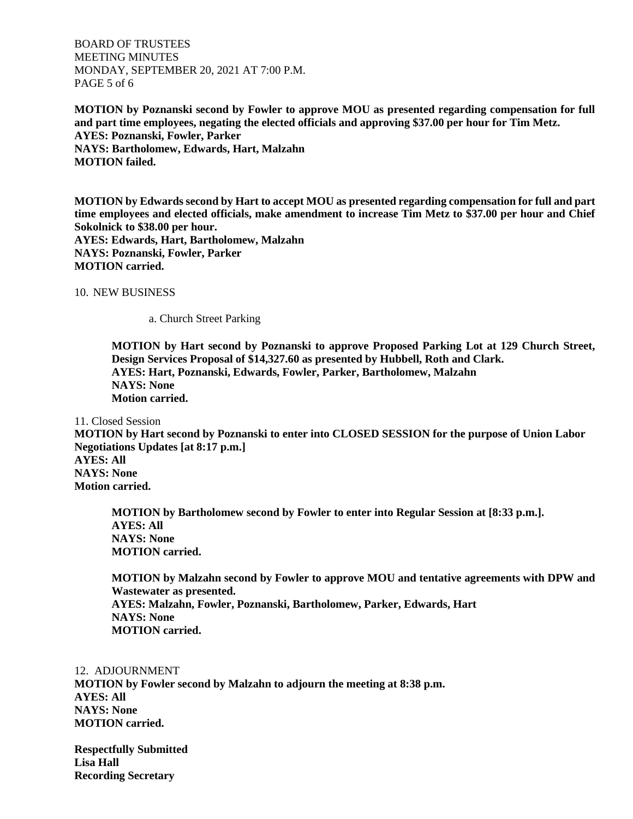BOARD OF TRUSTEES MEETING MINUTES MONDAY, SEPTEMBER 20, 2021 AT 7:00 P.M. PAGE 5 of 6

**MOTION by Poznanski second by Fowler to approve MOU as presented regarding compensation for full and part time employees, negating the elected officials and approving \$37.00 per hour for Tim Metz. AYES: Poznanski, Fowler, Parker NAYS: Bartholomew, Edwards, Hart, Malzahn MOTION failed.** 

**MOTION by Edwards second by Hart to accept MOU as presented regarding compensation for full and part time employees and elected officials, make amendment to increase Tim Metz to \$37.00 per hour and Chief Sokolnick to \$38.00 per hour. AYES: Edwards, Hart, Bartholomew, Malzahn NAYS: Poznanski, Fowler, Parker MOTION carried.**

10. NEW BUSINESS

a. Church Street Parking

**MOTION by Hart second by Poznanski to approve Proposed Parking Lot at 129 Church Street, Design Services Proposal of \$14,327.60 as presented by Hubbell, Roth and Clark. AYES: Hart, Poznanski, Edwards, Fowler, Parker, Bartholomew, Malzahn NAYS: None Motion carried.** 

11. Closed Session

**MOTION by Hart second by Poznanski to enter into CLOSED SESSION for the purpose of Union Labor Negotiations Updates [at 8:17 p.m.] AYES: All**

**NAYS: None Motion carried.**

> **MOTION by Bartholomew second by Fowler to enter into Regular Session at [8:33 p.m.]. AYES: All NAYS: None MOTION carried.**

**MOTION by Malzahn second by Fowler to approve MOU and tentative agreements with DPW and Wastewater as presented. AYES: Malzahn, Fowler, Poznanski, Bartholomew, Parker, Edwards, Hart NAYS: None MOTION carried.** 

12. ADJOURNMENT

**MOTION by Fowler second by Malzahn to adjourn the meeting at 8:38 p.m. AYES: All NAYS: None MOTION carried.**

**Respectfully Submitted Lisa Hall Recording Secretary**